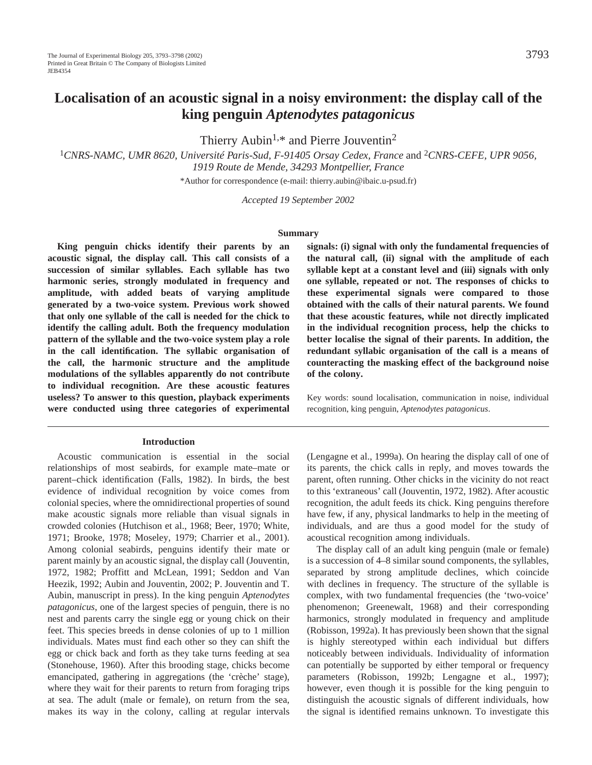# **Localisation of an acoustic signal in a noisy environment: the display call of the king penguin** *Aptenodytes patagonicus*

Thierry Aubin<sup>1,\*</sup> and Pierre Jouventin<sup>2</sup>

<sup>1</sup>*CNRS-NAMC, UMR 8620, Université Paris-Sud, F-91405 Orsay Cedex, France* and 2*CNRS-CEFE, UPR 9056, 1919 Route de Mende, 34293 Montpellier, France*

\*Author for correspondence (e-mail: thierry.aubin@ibaic.u-psud.fr)

*Accepted 19 September 2002* 

#### **Summary**

**King penguin chicks identify their parents by an acoustic signal, the display call. This call consists of a succession of similar syllables. Each syllable has two harmonic series, strongly modulated in frequency and amplitude, with added beats of varying amplitude generated by a two-voice system. Previous work showed that only one syllable of the call is needed for the chick to identify the calling adult. Both the frequency modulation pattern of the syllable and the two-voice system play a role in the call identification. The syllabic organisation of the call, the harmonic structure and the amplitude modulations of the syllables apparently do not contribute to individual recognition. Are these acoustic features useless? To answer to this question, playback experiments were conducted using three categories of experimental**

#### **Introduction**

Acoustic communication is essential in the social relationships of most seabirds, for example mate–mate or parent–chick identification (Falls, 1982). In birds, the best evidence of individual recognition by voice comes from colonial species, where the omnidirectional properties of sound make acoustic signals more reliable than visual signals in crowded colonies (Hutchison et al., 1968; Beer, 1970; White, 1971; Brooke, 1978; Moseley, 1979; Charrier et al., 2001). Among colonial seabirds, penguins identify their mate or parent mainly by an acoustic signal, the display call (Jouventin, 1972, 1982; Proffitt and McLean, 1991; Seddon and Van Heezik, 1992; Aubin and Jouventin, 2002; P. Jouventin and T. Aubin, manuscript in press). In the king penguin *Aptenodytes patagonicus*, one of the largest species of penguin, there is no nest and parents carry the single egg or young chick on their feet. This species breeds in dense colonies of up to 1 million individuals. Mates must find each other so they can shift the egg or chick back and forth as they take turns feeding at sea (Stonehouse, 1960). After this brooding stage, chicks become emancipated, gathering in aggregations (the 'crèche' stage), where they wait for their parents to return from foraging trips at sea. The adult (male or female), on return from the sea, makes its way in the colony, calling at regular intervals **signals: (i) signal with only the fundamental frequencies of the natural call, (ii) signal with the amplitude of each syllable kept at a constant level and (iii) signals with only one syllable, repeated or not. The responses of chicks to these experimental signals were compared to those obtained with the calls of their natural parents. We found that these acoustic features, while not directly implicated in the individual recognition process, help the chicks to better localise the signal of their parents. In addition, the redundant syllabic organisation of the call is a means of counteracting the masking effect of the background noise of the colony.**

Key words: sound localisation, communication in noise, individual recognition, king penguin, *Aptenodytes patagonicus*.

(Lengagne et al., 1999a). On hearing the display call of one of its parents, the chick calls in reply, and moves towards the parent, often running. Other chicks in the vicinity do not react to this 'extraneous' call (Jouventin, 1972, 1982). After acoustic recognition, the adult feeds its chick. King penguins therefore have few, if any, physical landmarks to help in the meeting of individuals, and are thus a good model for the study of acoustical recognition among individuals.

The display call of an adult king penguin (male or female) is a succession of 4–8 similar sound components, the syllables, separated by strong amplitude declines, which coincide with declines in frequency. The structure of the syllable is complex, with two fundamental frequencies (the 'two-voice' phenomenon; Greenewalt, 1968) and their corresponding harmonics, strongly modulated in frequency and amplitude (Robisson, 1992a). It has previously been shown that the signal is highly stereotyped within each individual but differs noticeably between individuals. Individuality of information can potentially be supported by either temporal or frequency parameters (Robisson, 1992b; Lengagne et al., 1997); however, even though it is possible for the king penguin to distinguish the acoustic signals of different individuals, how the signal is identified remains unknown. To investigate this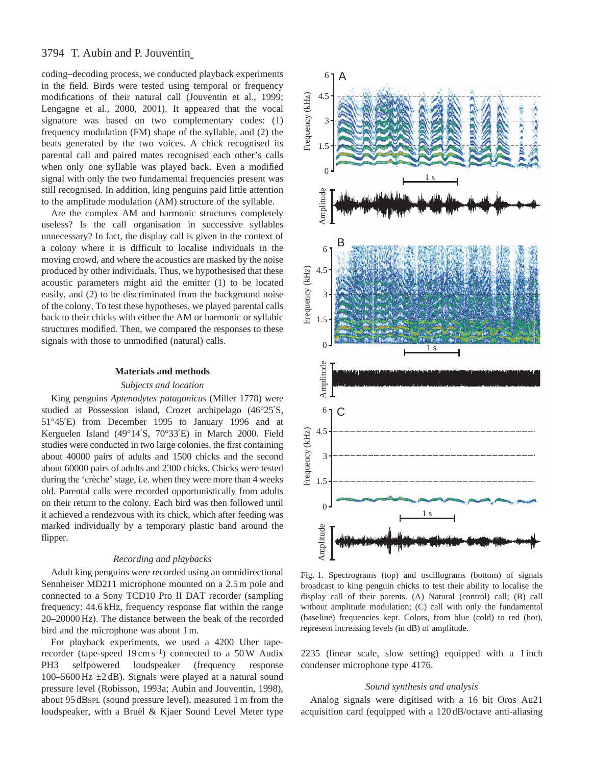# 3794 T. Aubin and P. Jouventin

coding–decoding process, we conducted playback experiments in the field. Birds were tested using temporal or frequency modifications of their natural call (Jouventin et al., 1999; Lengagne et al., 2000, 2001). It appeared that the vocal signature was based on two complementary codes: (1) frequency modulation (FM) shape of the syllable, and (2) the beats generated by the two voices. A chick recognised its parental call and paired mates recognised each other's calls when only one syllable was played back. Even a modified signal with only the two fundamental frequencies present was still recognised. In addition, king penguins paid little attention to the amplitude modulation (AM) structure of the syllable.

Are the complex AM and harmonic structures completely useless? Is the call organisation in successive syllables unnecessary? In fact, the display call is given in the context of a colony where it is difficult to localise individuals in the moving crowd, and where the acoustics are masked by the noise produced by other individuals. Thus, we hypothesised that these acoustic parameters might aid the emitter (1) to be located easily, and (2) to be discriminated from the background noise of the colony. To test these hypotheses, we played parental calls back to their chicks with either the AM or harmonic or syllabic structures modified. Then, we compared the responses to these signals with those to unmodified (natural) calls.

#### **Materials and methods**

## *Subjects and location*

King penguins *Aptenodytes patagonicus* (Miller 1778) were studied at Possession island, Crozet archipelago (46°25′S, 51°45′E) from December 1995 to January 1996 and at Kerguelen Island (49°14′S, 70°33′E) in March 2000. Field studies were conducted in two large colonies, the first containing about 40000 pairs of adults and 1500 chicks and the second about 60000 pairs of adults and 2300 chicks. Chicks were tested during the 'crèche' stage, i.e. when they were more than 4 weeks old. Parental calls were recorded opportunistically from adults on their return to the colony. Each bird was then followed until it achieved a rendezvous with its chick, which after feeding was marked individually by a temporary plastic band around the flipper.

## *Recording and playbacks*

Adult king penguins were recorded using an omnidirectional Sennheiser MD211 microphone mounted on a 2.5 m pole and connected to a Sony TCD10 Pro II DAT recorder (sampling frequency: 44.6 kHz, frequency response flat within the range 20–20000 Hz). The distance between the beak of the recorded bird and the microphone was about 1 m.

For playback experiments, we used a 4200 Uher taperecorder (tape-speed  $19 \text{ cm s}^{-1}$ ) connected to a 50 W Audix PH3 selfpowered loudspeaker (frequency response 100–5600 Hz  $\pm$ 2 dB). Signals were played at a natural sound pressure level (Robisson, 1993a; Aubin and Jouventin, 1998), about 95 dBSPL (sound pressure level), measured 1 m from the loudspeaker, with a Bruël & Kjaer Sound Level Meter type



Fig. 1. Spectrograms (top) and oscillograms (bottom) of signals broadcast to king penguin chicks to test their ability to localise the display call of their parents. (A) Natural (control) call; (B) call without amplitude modulation; (C) call with only the fundamental (baseline) frequencies kept. Colors, from blue (cold) to red (hot), represent increasing levels (in dB) of amplitude.

2235 (linear scale, slow setting) equipped with a 1 inch condenser microphone type 4176.

## *Sound synthesis and analysis*

Analog signals were digitised with a 16 bit Oros Au21 acquisition card (equipped with a 120 dB/octave anti-aliasing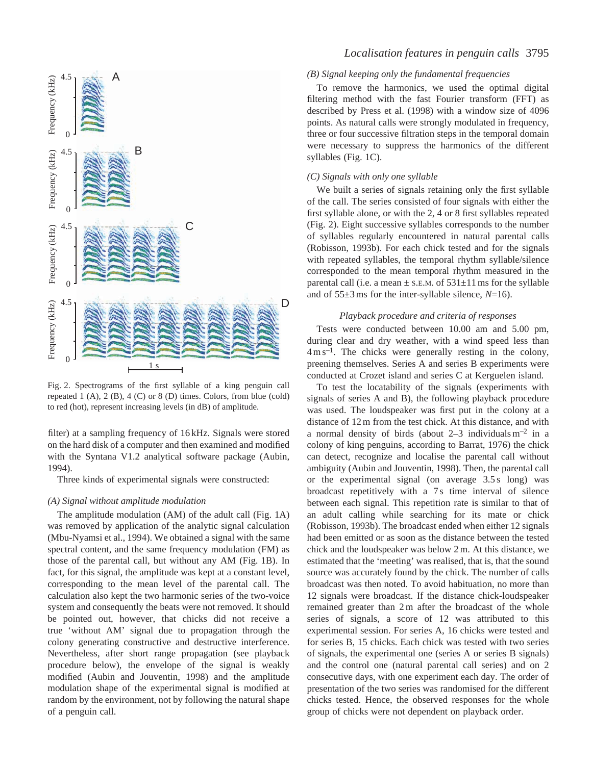

Fig. 2. Spectrograms of the first syllable of a king penguin call repeated 1 (A), 2 (B), 4 (C) or 8 (D) times. Colors, from blue (cold) to red (hot), represent increasing levels (in dB) of amplitude.

filter) at a sampling frequency of 16 kHz. Signals were stored on the hard disk of a computer and then examined and modified with the Syntana V1.2 analytical software package (Aubin, 1994).

Three kinds of experimental signals were constructed:

#### *(A) Signal without amplitude modulation*

The amplitude modulation (AM) of the adult call (Fig. 1A) was removed by application of the analytic signal calculation (Mbu-Nyamsi et al., 1994). We obtained a signal with the same spectral content, and the same frequency modulation (FM) as those of the parental call, but without any AM (Fig. 1B). In fact, for this signal, the amplitude was kept at a constant level, corresponding to the mean level of the parental call. The calculation also kept the two harmonic series of the two-voice system and consequently the beats were not removed. It should be pointed out, however, that chicks did not receive a true 'without AM' signal due to propagation through the colony generating constructive and destructive interference. Nevertheless, after short range propagation (see playback procedure below), the envelope of the signal is weakly modified (Aubin and Jouventin, 1998) and the amplitude modulation shape of the experimental signal is modified at random by the environment, not by following the natural shape of a penguin call.

## *Localisation features in penguin calls* 3795

## *(B) Signal keeping only the fundamental frequencies*

To remove the harmonics, we used the optimal digital filtering method with the fast Fourier transform (FFT) as described by Press et al. (1998) with a window size of 4096 points. As natural calls were strongly modulated in frequency, three or four successive filtration steps in the temporal domain were necessary to suppress the harmonics of the different syllables (Fig. 1C).

## *(C) Signals with only one syllable*

We built a series of signals retaining only the first syllable of the call. The series consisted of four signals with either the first syllable alone, or with the 2, 4 or 8 first syllables repeated (Fig. 2). Eight successive syllables corresponds to the number of syllables regularly encountered in natural parental calls (Robisson, 1993b). For each chick tested and for the signals with repeated syllables, the temporal rhythm syllable/silence corresponded to the mean temporal rhythm measured in the parental call (i.e. a mean  $\pm$  s.e.m. of 531 $\pm$ 11 ms for the syllable and of 55±3 ms for the inter-syllable silence, *N*=16).

#### *Playback procedure and criteria of responses*

Tests were conducted between 10.00 am and 5.00 pm, during clear and dry weather, with a wind speed less than  $4 \text{ m s}^{-1}$ . The chicks were generally resting in the colony, preening themselves. Series A and series B experiments were conducted at Crozet island and series C at Kerguelen island.

To test the locatability of the signals (experiments with signals of series A and B), the following playback procedure was used. The loudspeaker was first put in the colony at a distance of 12 m from the test chick. At this distance, and with a normal density of birds (about  $2-3$  individuals m<sup>-2</sup> in a colony of king penguins, according to Barrat, 1976) the chick can detect, recognize and localise the parental call without ambiguity (Aubin and Jouventin, 1998). Then, the parental call or the experimental signal (on average 3.5 s long) was broadcast repetitively with a 7s time interval of silence between each signal. This repetition rate is similar to that of an adult calling while searching for its mate or chick (Robisson, 1993b). The broadcast ended when either 12 signals had been emitted or as soon as the distance between the tested chick and the loudspeaker was below 2 m. At this distance, we estimated that the 'meeting' was realised, that is, that the sound source was accurately found by the chick. The number of calls broadcast was then noted. To avoid habituation, no more than 12 signals were broadcast. If the distance chick-loudspeaker remained greater than 2 m after the broadcast of the whole series of signals, a score of 12 was attributed to this experimental session. For series A, 16 chicks were tested and for series B, 15 chicks. Each chick was tested with two series of signals, the experimental one (series A or series B signals) and the control one (natural parental call series) and on 2 consecutive days, with one experiment each day. The order of presentation of the two series was randomised for the different chicks tested. Hence, the observed responses for the whole group of chicks were not dependent on playback order.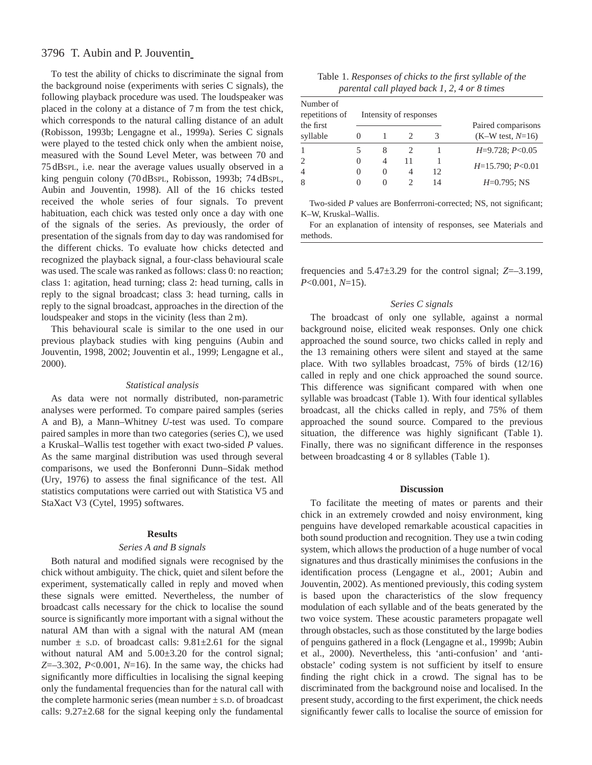# 3796 T. Aubin and P. Jouventin

To test the ability of chicks to discriminate the signal from the background noise (experiments with series C signals), the following playback procedure was used. The loudspeaker was placed in the colony at a distance of 7 m from the test chick, which corresponds to the natural calling distance of an adult (Robisson, 1993b; Lengagne et al., 1999a). Series C signals were played to the tested chick only when the ambient noise, measured with the Sound Level Meter, was between 70 and 75 dBSPL, i.e. near the average values usually observed in a king penguin colony (70 dBSPL, Robisson, 1993b; 74 dBSPL, Aubin and Jouventin, 1998). All of the 16 chicks tested received the whole series of four signals. To prevent habituation, each chick was tested only once a day with one of the signals of the series. As previously, the order of presentation of the signals from day to day was randomised for the different chicks. To evaluate how chicks detected and recognized the playback signal, a four-class behavioural scale was used. The scale was ranked as follows: class 0: no reaction; class 1: agitation, head turning; class 2: head turning, calls in reply to the signal broadcast; class 3: head turning, calls in reply to the signal broadcast, approaches in the direction of the loudspeaker and stops in the vicinity (less than 2 m).

This behavioural scale is similar to the one used in our previous playback studies with king penguins (Aubin and Jouventin, 1998, 2002; Jouventin et al., 1999; Lengagne et al., 2000).

## *Statistical analysis*

As data were not normally distributed, non-parametric analyses were performed. To compare paired samples (series A and B), a Mann–Whitney *U*-test was used. To compare paired samples in more than two categories (series C), we used a Kruskal–Wallis test together with exact two-sided *P* values. As the same marginal distribution was used through several comparisons, we used the Bonferonni Dunn–Sidak method (Ury, 1976) to assess the final significance of the test. All statistics computations were carried out with Statistica V5 and StaXact V3 (Cytel, 1995) softwares.

#### **Results**

## *Series A and B signals*

Both natural and modified signals were recognised by the chick without ambiguity. The chick, quiet and silent before the experiment, systematically called in reply and moved when these signals were emitted. Nevertheless, the number of broadcast calls necessary for the chick to localise the sound source is significantly more important with a signal without the natural AM than with a signal with the natural AM (mean number  $\pm$  s.p. of broadcast calls: 9.81 $\pm$ 2.61 for the signal without natural AM and 5.00±3.20 for the control signal; *Z*=–3.302, *P*<0.001, *N*=16). In the same way, the chicks had significantly more difficulties in localising the signal keeping only the fundamental frequencies than for the natural call with the complete harmonic series (mean number  $\pm$  s.D. of broadcast calls:  $9.27 \pm 2.68$  for the signal keeping only the fundamental

| Table 1. Responses of chicks to the first syllable of the |  |  |
|-----------------------------------------------------------|--|--|
| parental call played back 1, 2, 4 or 8 times              |  |  |

| Number of<br>repetitions of<br>the first | Intensity of responses |                    |    |    | Paired comparisons  |  |
|------------------------------------------|------------------------|--------------------|----|----|---------------------|--|
| syllable                                 |                        |                    |    | 3  | $(K-W$ test, $N=16$ |  |
|                                          |                        | 8                  |    |    | $H=9.728; P<0.05$   |  |
| $\overline{c}$<br>$\overline{4}$         |                        | 4<br>$\mathcal{O}$ | 11 | 12 | $H=15.790; P<0.01$  |  |
| 8                                        |                        |                    |    |    | $H=0.795$ ; NS      |  |

Two-sided *P* values are Bonferrroni-corrected; NS, not significant; K–W, Kruskal–Wallis.

For an explanation of intensity of responses, see Materials and methods.

frequencies and 5.47±3.29 for the control signal; *Z*=–3.199, *P*<0.001, *N*=15).

## *Series C signals*

The broadcast of only one syllable, against a normal background noise, elicited weak responses. Only one chick approached the sound source, two chicks called in reply and the 13 remaining others were silent and stayed at the same place. With two syllables broadcast, 75% of birds (12/16) called in reply and one chick approached the sound source. This difference was significant compared with when one syllable was broadcast (Table 1). With four identical syllables broadcast, all the chicks called in reply, and 75% of them approached the sound source. Compared to the previous situation, the difference was highly significant (Table 1). Finally, there was no significant difference in the responses between broadcasting 4 or 8 syllables (Table 1).

#### **Discussion**

To facilitate the meeting of mates or parents and their chick in an extremely crowded and noisy environment, king penguins have developed remarkable acoustical capacities in both sound production and recognition. They use a twin coding system, which allows the production of a huge number of vocal signatures and thus drastically minimises the confusions in the identification process (Lengagne et al., 2001; Aubin and Jouventin, 2002). As mentioned previously, this coding system is based upon the characteristics of the slow frequency modulation of each syllable and of the beats generated by the two voice system. These acoustic parameters propagate well through obstacles, such as those constituted by the large bodies of penguins gathered in a flock (Lengagne et al., 1999b; Aubin et al., 2000). Nevertheless, this 'anti-confusion' and 'antiobstacle' coding system is not sufficient by itself to ensure finding the right chick in a crowd. The signal has to be discriminated from the background noise and localised. In the present study, according to the first experiment, the chick needs significantly fewer calls to localise the source of emission for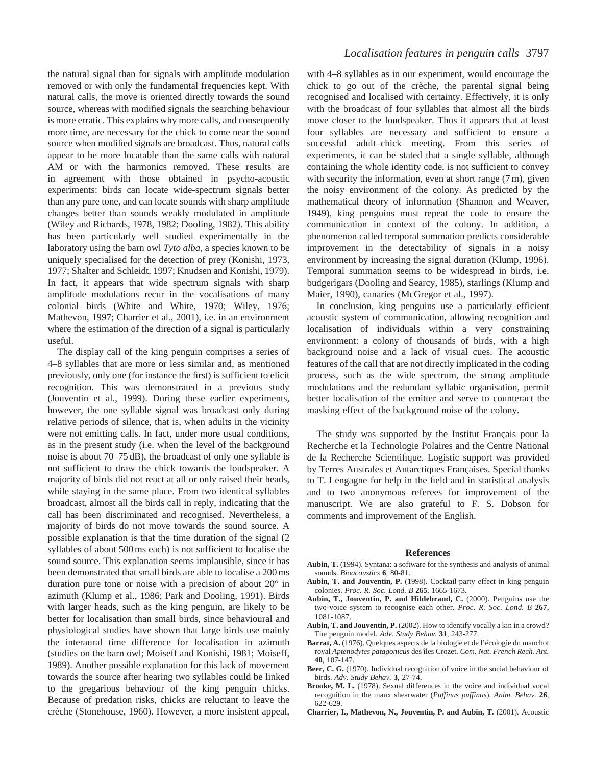the natural signal than for signals with amplitude modulation removed or with only the fundamental frequencies kept. With natural calls, the move is oriented directly towards the sound source, whereas with modified signals the searching behaviour is more erratic. This explains why more calls, and consequently more time, are necessary for the chick to come near the sound source when modified signals are broadcast. Thus, natural calls appear to be more locatable than the same calls with natural AM or with the harmonics removed. These results are in agreement with those obtained in psycho-acoustic experiments: birds can locate wide-spectrum signals better than any pure tone, and can locate sounds with sharp amplitude changes better than sounds weakly modulated in amplitude (Wiley and Richards, 1978, 1982; Dooling, 1982). This ability has been particularly well studied experimentally in the laboratory using the barn owl *Tyto alba*, a species known to be uniquely specialised for the detection of prey (Konishi, 1973, 1977; Shalter and Schleidt, 1997; Knudsen and Konishi, 1979). In fact, it appears that wide spectrum signals with sharp amplitude modulations recur in the vocalisations of many colonial birds (White and White, 1970; Wiley, 1976; Mathevon, 1997; Charrier et al., 2001), i.e. in an environment where the estimation of the direction of a signal is particularly useful.

The display call of the king penguin comprises a series of 4–8 syllables that are more or less similar and, as mentioned previously, only one (for instance the first) is sufficient to elicit recognition. This was demonstrated in a previous study (Jouventin et al., 1999). During these earlier experiments, however, the one syllable signal was broadcast only during relative periods of silence, that is, when adults in the vicinity were not emitting calls. In fact, under more usual conditions, as in the present study (i.e. when the level of the background noise is about 70–75 dB), the broadcast of only one syllable is not sufficient to draw the chick towards the loudspeaker. A majority of birds did not react at all or only raised their heads, while staying in the same place. From two identical syllables broadcast, almost all the birds call in reply, indicating that the call has been discriminated and recognised. Nevertheless, a majority of birds do not move towards the sound source. A possible explanation is that the time duration of the signal (2 syllables of about 500 ms each) is not sufficient to localise the sound source. This explanation seems implausible, since it has been demonstrated that small birds are able to localise a 200 ms duration pure tone or noise with a precision of about 20° in azimuth (Klump et al., 1986; Park and Dooling, 1991). Birds with larger heads, such as the king penguin, are likely to be better for localisation than small birds, since behavioural and physiological studies have shown that large birds use mainly the interaural time difference for localisation in azimuth (studies on the barn owl; Moiseff and Konishi, 1981; Moiseff, 1989). Another possible explanation for this lack of movement towards the source after hearing two syllables could be linked to the gregarious behaviour of the king penguin chicks. Because of predation risks, chicks are reluctant to leave the crèche (Stonehouse, 1960). However, a more insistent appeal,

with 4–8 syllables as in our experiment, would encourage the chick to go out of the crèche, the parental signal being recognised and localised with certainty. Effectively, it is only with the broadcast of four syllables that almost all the birds move closer to the loudspeaker. Thus it appears that at least four syllables are necessary and sufficient to ensure a successful adult–chick meeting. From this series of experiments, it can be stated that a single syllable, although containing the whole identity code, is not sufficient to convey with security the information, even at short range (7 m), given the noisy environment of the colony. As predicted by the mathematical theory of information (Shannon and Weaver, 1949), king penguins must repeat the code to ensure the communication in context of the colony. In addition, a phenomenon called temporal summation predicts considerable improvement in the detectability of signals in a noisy environment by increasing the signal duration (Klump, 1996). Temporal summation seems to be widespread in birds, i.e. budgerigars (Dooling and Searcy, 1985), starlings (Klump and Maier, 1990), canaries (McGregor et al., 1997).

In conclusion, king penguins use a particularly efficient acoustic system of communication, allowing recognition and localisation of individuals within a very constraining environment: a colony of thousands of birds, with a high background noise and a lack of visual cues. The acoustic features of the call that are not directly implicated in the coding process, such as the wide spectrum, the strong amplitude modulations and the redundant syllabic organisation, permit better localisation of the emitter and serve to counteract the masking effect of the background noise of the colony.

The study was supported by the Institut Français pour la Recherche et la Technologie Polaires and the Centre National de la Recherche Scientifique. Logistic support was provided by Terres Australes et Antarctiques Françaises. Special thanks to T. Lengagne for help in the field and in statistical analysis and to two anonymous referees for improvement of the manuscript. We are also grateful to F. S. Dobson for comments and improvement of the English.

#### **References**

- **Aubin, T.** (1994). Syntana: a software for the synthesis and analysis of animal sounds. *Bioacoustics* **6**, 80-81.
- **Aubin, T. and Jouventin, P.** (1998). Cocktail-party effect in king penguin colonies. *Proc. R. Soc. Lond. B* **265**, 1665-1673.
- **Aubin, T., Jouventin, P. and Hildebrand, C.** (2000). Penguins use the two-voice system to recognise each other. *Proc. R. Soc. Lond. B* **267**, 1081-1087.
- **Aubin, T. and Jouventin, P.** (2002). How to identify vocally a kin in a crowd? The penguin model. *Adv. Study Behav.* **31**, 243-277.
- Barrat, A. (1976). Quelques aspects de la biologie et de l'écologie du manchot royal *Aptenodytes patagonicus* des îles Crozet. *Com. Nat. French Rech. Ant.* **40**, 107-147.
- **Beer, C. G.** (1970). Individual recognition of voice in the social behaviour of birds. *Adv. Study Behav.* **3**, 27-74.
- **Brooke, M. L.** (1978). Sexual differences in the voice and individual vocal recognition in the manx shearwater (*Puffinus puffinus*). *Anim. Behav.* **26**, 622-629.
- **Charrier, I., Mathevon, N., Jouventin, P. and Aubin, T.** (2001). Acoustic